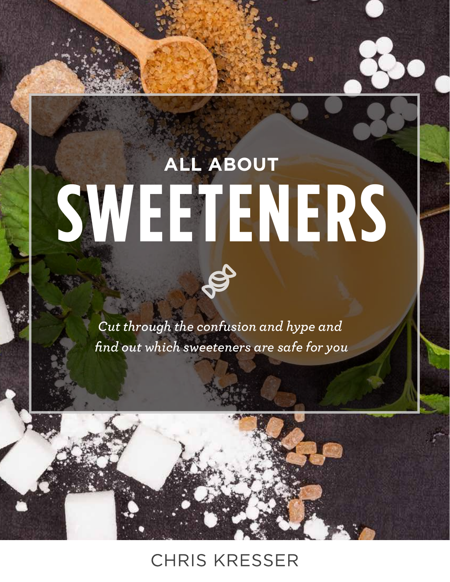# **ALL ABOUT SWEETENERS**

*Cut through the confusion and hype and find out which sweeteners are safe for you*

## **CHRIS KRESSER**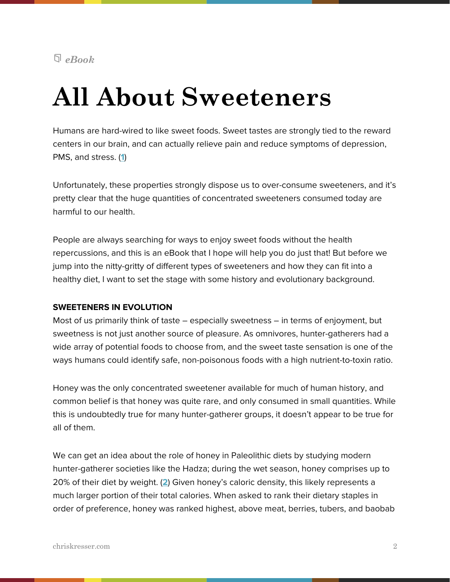#### *eBook*

## **All About Sweeteners**

Humans are hard-wired to like sweet foods. Sweet tastes are strongly tied to the reward centers in our brain, and can actually relieve pain and reduce symptoms of depression, PMS, and stress. (**[1](http://www.ncbi.nlm.nih.gov/pubmed/19083128/)**)

Unfortunately, these properties strongly dispose us to over-consume sweeteners, and it's pretty clear that the huge quantities of concentrated sweeteners consumed today are harmful to our health.

People are always searching for ways to enjoy sweet foods without the health repercussions, and this is an eBook that I hope will help you do just that! But before we jump into the nitty-gritty of different types of sweeteners and how they can fit into a healthy diet, I want to set the stage with some history and evolutionary background.

#### **SWEETENERS IN EVOLUTION**

Most of us primarily think of taste – especially sweetness – in terms of enjoyment, but sweetness is not just another source of pleasure. As omnivores, hunter-gatherers had a wide array of potential foods to choose from, and the sweet taste sensation is one of the ways humans could identify safe, non-poisonous foods with a high nutrient-to-toxin ratio.

Honey was the only concentrated sweetener available for much of human history, and common belief is that honey was quite rare, and only consumed in small quantities. While this is undoubtedly true for many hunter-gatherer groups, it doesn't appear to be true for all of them.

We can get an idea about the role of honey in Paleolithic diets by studying modern hunter-gatherer societies like the Hadza; during the wet season, honey comprises up to 20% of their diet by weight. (**[2](http://pmid.us/19350623)**) Given honey's caloric density, this likely represents a much larger portion of their total calories. When asked to rank their dietary staples in order of preference, honey was ranked highest, above meat, berries, tubers, and baobab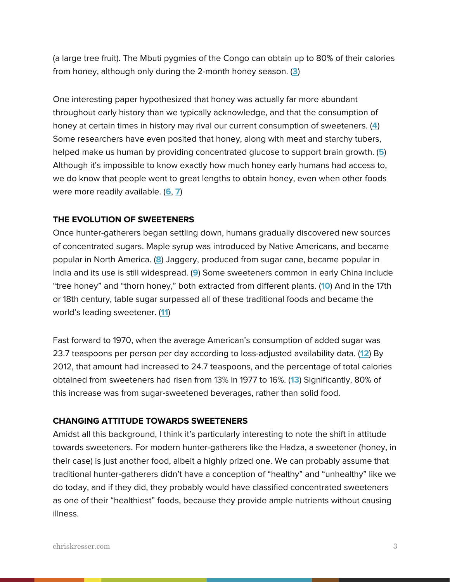(a large tree fruit). The Mbuti pygmies of the Congo can obtain up to 80% of their calories from honey, although only during the 2-month honey season. (**[3](http://www.ncbi.nlm.nih.gov/pubmed/8672404)**)

One interesting paper hypothesized that honey was actually far more abundant throughout early history than we typically acknowledge, and that the consumption of honey at certain times in history may rival our current consumption of sweeteners. (**[4](http://www.ncbi.nlm.nih.gov/pubmed/8672404)**) Some researchers have even posited that honey, along with meat and starchy tubers, helped make us human by providing concentrated glucose to support brain growth. (**[5](http://www.tandfonline.com/doi/abs/10.1080/07409710.2011.630618#.U0WgvF5ptG4)**) Although it's impossible to know exactly how much honey early humans had access to, we do know that people went to great lengths to obtain honey, even when other foods were more readily available. (**[6](http://www.tandfonline.com/doi/abs/10.1080/07409710.2011.630618#.U0WgvF5ptG4)**, **[7](http://www.ncbi.nlm.nih.gov/pubmed/8672404)**)

#### **THE EVOLUTION OF SWEETENERS**

Once hunter-gatherers began settling down, humans gradually discovered new sources of concentrated sugars. Maple syrup was introduced by Native Americans, and became popular in North America. (**[8](http://pubs.acs.org/doi/pdf/10.1021/ed084p1647)**) Jaggery, produced from sugar cane, became popular in India and its use is still widespread. (**[9](http://www.panelamonitor.org/documents/195/jaggery-a-traditional-indian-sweetener/)**) Some sweeteners common in early China include "tree honey" and "thorn honey," both extracted from different plants. (**[10](http://books.google.com/books?hl=en&lr=&id=Fo087ZxohA4C&oi=fnd&pg=PR17&dq=)**) And in the 17th or 18th century, table sugar surpassed all of these traditional foods and became the world's leading sweetener. (**[11](http://www.ncbi.nlm.nih.gov/pubmed/14627752)**)

Fast forward to 1970, when the average American's consumption of added sugar was 23.7 teaspoons per person per day according to loss-adjusted availability data. (**[12](http://www.ers.usda.gov/data-products/food-availability-(per-capita)-data-system.aspx#.U0U6Gl5ptG5)**) By 2012, that amount had increased to 24.7 teaspoons, and the percentage of total calories obtained from sweeteners had risen from 13% in 1977 to 16%. (**[13](http://www.ncbi.nlm.nih.gov/pubmed/14627752)**) Significantly, 80% of this increase was from sugar-sweetened beverages, rather than solid food.

#### **CHANGING ATTITUDE TOWARDS SWEETENERS**

Amidst all this background, I think it's particularly interesting to note the shift in attitude towards sweeteners. For modern hunter-gatherers like the Hadza, a sweetener (honey, in their case) is just another food, albeit a highly prized one. We can probably assume that traditional hunter-gatherers didn't have a conception of "healthy" and "unhealthy" like we do today, and if they did, they probably would have classified concentrated sweeteners as one of their "healthiest" foods, because they provide ample nutrients without causing illness.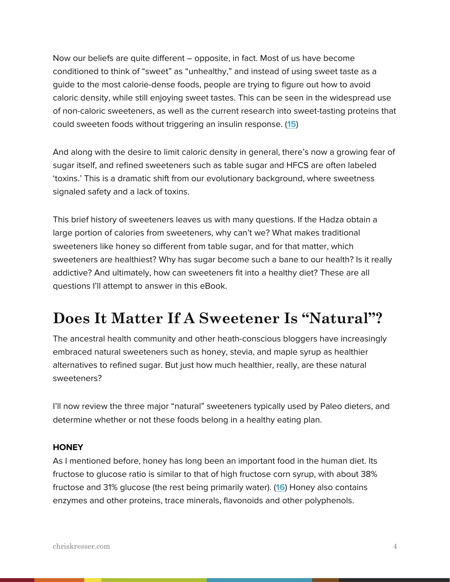Now our beliefs are quite different – opposite, in fact. Most of us have become conditioned to think of "sweet" as "unhealthy," and instead of using sweet taste as a guide to the most calorie-dense foods, people are trying to figure out how to avoid caloric density, while still enjoying sweet tastes. This can be seen in the widespread use of non-caloric sweeteners, as well as the current research into sweet-tasting proteins that could sweeten foods without triggering an insulin response. (**[15](http://www.ncbi.nlm.nih.gov/pubmed/23994809)**)

And along with the desire to limit caloric density in general, there's now a growing fear of sugar itself, and refined sweeteners such as table sugar and HFCS are often labeled 'toxins.' This is a dramatic shift from our evolutionary background, where sweetness signaled safety and a lack of toxins.

This brief history of sweeteners leaves us with many questions. If the Hadza obtain a large portion of calories from sweeteners, why can't we? What makes traditional sweeteners like honey so different from table sugar, and for that matter, which sweeteners are healthiest? Why has sugar become such a bane to our health? Is it really addictive? And ultimately, how can sweeteners fit into a healthy diet? These are all questions I'll attempt to answer in this eBook.

## **Does It Matter If A Sweetener Is "Natural"?**

The ancestral health community and other heath-conscious bloggers have increasingly embraced natural sweeteners such as honey, stevia, and maple syrup as healthier alternatives to refined sugar. But just how much healthier, really, are these natural sweeteners?

I'll now review the three major "natural" sweeteners typically used by Paleo dieters, and determine whether or not these foods belong in a healthy eating plan.

#### **HONEY**

As I mentioned before, honey has long been an important food in the human diet. Its fructose to glucose ratio is similar to that of high fructose corn syrup, with about 38% fructose and 31% glucose (the rest being primarily water). (**[16](http://www.ncbi.nlm.nih.gov/pubmed/19155427)**) Honey also contains enzymes and other proteins, trace minerals, flavonoids and other polyphenols.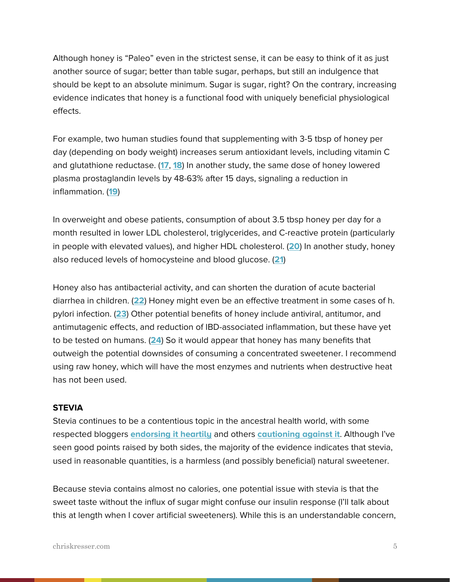Although honey is "Paleo" even in the strictest sense, it can be easy to think of it as just another source of sugar; better than table sugar, perhaps, but still an indulgence that should be kept to an absolute minimum. Sugar is sugar, right? On the contrary, increasing evidence indicates that honey is a functional food with uniquely beneficial physiological effects.

For example, two human studies found that supplementing with 3-5 tbsp of honey per day (depending on body weight) increases serum antioxidant levels, including vitamin C and glutathione reductase. (**[17](http://www.ncbi.nlm.nih.gov/pubmed/12617614)**, **[18](http://www.ncbi.nlm.nih.gov/pubmed/12935325)**) In another study, the same dose of honey lowered plasma prostaglandin levels by 48-63% after 15 days, signaling a reduction in inflammation. (**[19](http://www.ncbi.nlm.nih.gov/pubmed/12935324)**)

In overweight and obese patients, consumption of about 3.5 tbsp honey per day for a month resulted in lower LDL cholesterol, triglycerides, and C-reactive protein (particularly in people with elevated values), and higher HDL cholesterol. (**[20](http://www.ncbi.nlm.nih.gov/pubmed/18454257)**) In another study, honey also reduced levels of homocysteine and blood glucose. (**[21](http://www.ncbi.nlm.nih.gov/pubmed/15117561)**)

Honey also has antibacterial activity, and can shorten the duration of acute bacterial diarrhea in children. (**[22](http://www.ncbi.nlm.nih.gov/pmc/articles/PMC1416773/)**) Honey might even be an effective treatment in some cases of h. pylori infection. (**[23](http://link.springer.com/article/10.1007%2Fs12349-009-0051-6)**) Other potential benefits of honey include antiviral, antitumor, and antimutagenic effects, and reduction of IBD-associated inflammation, but these have yet to be tested on humans. (**[24](http://link.springer.com/article/10.1007%2Fs12349-009-0051-6)**) So it would appear that honey has many benefits that outweigh the potential downsides of consuming a concentrated sweetener. I recommend using raw honey, which will have the most enzymes and nutrients when destructive heat has not been used.

#### **STEVIA**

Stevia continues to be a contentious topic in the ancestral health world, with some respected bloggers **[endorsing it heartily](http://www.marksdailyapple.com/stevia/#axzz3136cCQpT)** and others **[cautioning against it](http://www.thepaleomom.com/2013/03/teaser-excerpt-from-the-paleo-approach-the-trouble-with-stevia.html)**. Although I've seen good points raised by both sides, the majority of the evidence indicates that stevia, used in reasonable quantities, is a harmless (and possibly beneficial) natural sweetener.

Because stevia contains almost no calories, one potential issue with stevia is that the sweet taste without the influx of sugar might confuse our insulin response (I'll talk about this at length when I cover artificial sweeteners). While this is an understandable concern,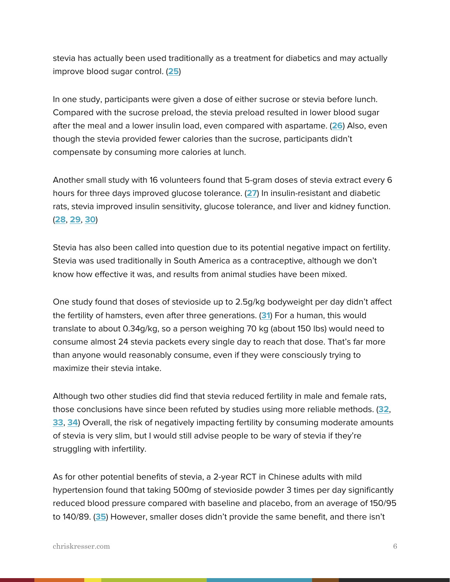stevia has actually been used traditionally as a treatment for diabetics and may actually improve blood sugar control. (**[25](http://www.ncbi.nlm.nih.gov/pubmed/23140911)**)

In one study, participants were given a dose of either sucrose or stevia before lunch. Compared with the sucrose preload, the stevia preload resulted in lower blood sugar after the meal and a lower insulin load, even compared with aspartame. (**[26](http://www.ncbi.nlm.nih.gov/pubmed/20303371)**) Also, even though the stevia provided fewer calories than the sucrose, participants didn't compensate by consuming more calories at lunch.

Another small study with 16 volunteers found that 5-gram doses of stevia extract every 6 hours for three days improved glucose tolerance. (**[27](http://www.ncbi.nlm.nih.gov/pubmed/3651629)**) In insulin-resistant and diabetic rats, stevia improved insulin sensitivity, glucose tolerance, and liver and kidney function. (**[28](http://www.ncbi.nlm.nih.gov/pubmed/16278783)**, **[29](http://www.ncbi.nlm.nih.gov/pubmed/23140911)**, **[30](http://www.ncbi.nlm.nih.gov/pubmed/15729617)**)

Stevia has also been called into question due to its potential negative impact on fertility. Stevia was used traditionally in South America as a contraceptive, although we don't know how effective it was, and results from animal studies have been mixed.

One study found that doses of stevioside up to 2.5g/kg bodyweight per day didn't affect the fertility of hamsters, even after three generations. (**[31](http://www.ncbi.nlm.nih.gov/pubmed/1874950)**) For a human, this would translate to about 0.34g/kg, so a person weighing 70 kg (about 150 lbs) would need to consume almost 24 stevia packets every single day to reach that dose. That's far more than anyone would reasonably consume, even if they were consciously trying to maximize their stevia intake.

Although two other studies did find that stevia reduced fertility in male and female rats, those conclusions have since been refuted by studies using more reliable methods. (**[32](http://www.ncbi.nlm.nih.gov/pubmed/14561506)**, **[33](http://www.ncbi.nlm.nih.gov/pubmed/10619379)**, **[34](http://www.ncbi.nlm.nih.gov/pubmed/17744732)**) Overall, the risk of negatively impacting fertility by consuming moderate amounts of stevia is very slim, but I would still advise people to be wary of stevia if they're struggling with infertility.

As for other potential benefits of stevia, a 2-year RCT in Chinese adults with mild hypertension found that taking 500mg of stevioside powder 3 times per day significantly reduced blood pressure compared with baseline and placebo, from an average of 150/95 to 140/89. (**[35](http://www.ncbi.nlm.nih.gov/pubmed/14693305)**) However, smaller doses didn't provide the same benefit, and there isn't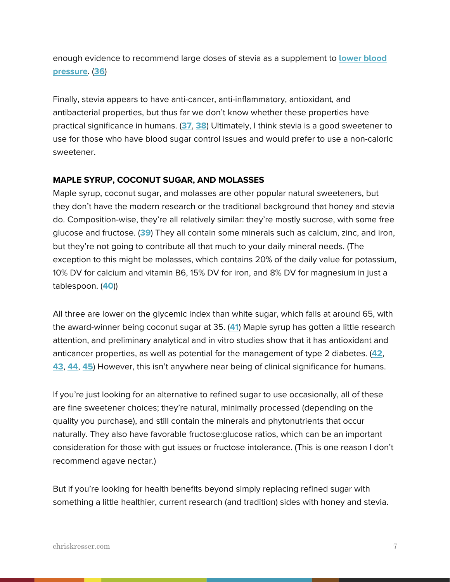enough evidence to recommend large doses of stevia as a supplement to **[lower blood](http://chriskresser.com/6-ways-to-lower-blood-pressure-by-changing-your-diet)  [pressure](http://chriskresser.com/6-ways-to-lower-blood-pressure-by-changing-your-diet)**. (**[36](http://www.ncbi.nlm.nih.gov/pubmed/16775813)**)

Finally, stevia appears to have anti-cancer, anti-inflammatory, antioxidant, and antibacterial properties, but thus far we don't know whether these properties have practical significance in humans. (**[37](http://www.ncbi.nlm.nih.gov/pubmed/19961353)**, **[38](http://www.sciencedirect.com/science/article/pii/S0308814611017559)**) Ultimately, I think stevia is a good sweetener to use for those who have blood sugar control issues and would prefer to use a non-caloric sweetener.

#### **MAPLE SYRUP, COCONUT SUGAR, AND MOLASSES**

Maple syrup, coconut sugar, and molasses are other popular natural sweeteners, but they don't have the modern research or the traditional background that honey and stevia do. Composition-wise, they're all relatively similar: they're mostly sucrose, with some free glucose and fructose. (**[39](http://ndb.nal.usda.gov/)**) They all contain some minerals such as calcium, zinc, and iron, but they're not going to contribute all that much to your daily mineral needs. (The exception to this might be molasses, which contains 20% of the daily value for potassium, 10% DV for calcium and vitamin B6, 15% DV for iron, and 8% DV for magnesium in just a tablespoon. (**[40](http://wholesomesweeteners.com/Products/productdetail/tabid/170/PId/25/Organic-Molasses.aspx)**))

All three are lower on the glycemic index than white sugar, which falls at around 65, with the award-winner being coconut sugar at 35. (**[41](http://coconutpalmsugar.com/Glycemic_Index_Explained.html)**) Maple syrup has gotten a little research attention, and preliminary analytical and in vitro studies show that it has antioxidant and anticancer properties, as well as potential for the management of type 2 diabetes. (**[42](http://www.ncbi.nlm.nih.gov/pubmed/20132041)**, **[43](http://www.ncbi.nlm.nih.gov/pubmed/23122108)**, **[44](http://www.sciencedirect.com/science/article/pii/S1756464611000296)**, **[45](http://cfs.nrcan.gc.ca/publications?id=28297)**) However, this isn't anywhere near being of clinical significance for humans.

If you're just looking for an alternative to refined sugar to use occasionally, all of these are fine sweetener choices; they're natural, minimally processed (depending on the quality you purchase), and still contain the minerals and phytonutrients that occur naturally. They also have favorable fructose:glucose ratios, which can be an important consideration for those with gut issues or fructose intolerance. (This is one reason I don't recommend agave nectar.)

But if you're looking for health benefits beyond simply replacing refined sugar with something a little healthier, current research (and tradition) sides with honey and stevia.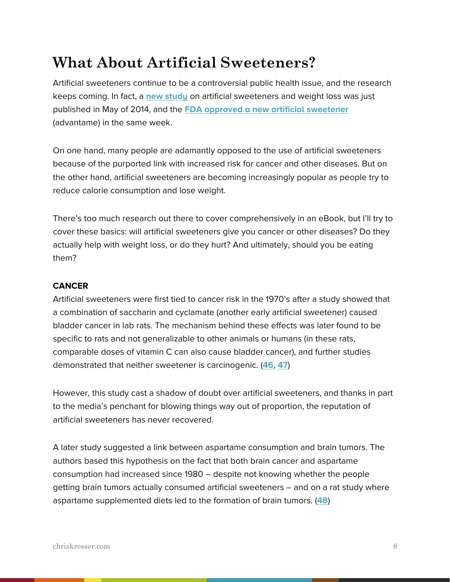## **What About Artificial Sweeteners?**

Artificial sweeteners continue to be a controversial public health issue, and the research keeps coming. In fact, a **[new study](http://www.sciencedaily.com/releases/2014/05/140527085124.htm)** on artificial sweeteners and weight loss was just published in May of 2014, and the **[FDA approved a new artificial sweetener](http://www.latimes.com/science/la-sci-fda-artificial-sweetener-20140521-story.html)** (advantame) in the same week.

On one hand, many people are adamantly opposed to the use of artificial sweeteners because of the purported link with increased risk for cancer and other diseases. But on the other hand, artificial sweeteners are becoming increasingly popular as people try to reduce calorie consumption and lose weight.

There's too much research out there to cover comprehensively in an eBook, but I'll try to cover these basics: will artificial sweeteners give you cancer or other diseases? Do they actually help with weight loss, or do they hurt? And ultimately, should you be eating them?

#### **CANCER**

Artificial sweeteners were first tied to cancer risk in the 1970's after a study showed that a combination of saccharin and cyclamate (another early artificial sweetener) caused bladder cancer in lab rats. The mechanism behind these effects was later found to be specific to rats and not generalizable to other animals or humans (in these rats, comparable doses of vitamin C can also cause bladder cancer), and further studies demonstrated that neither sweetener is carcinogenic. (**[46](http://www.ncbi.nlm.nih.gov/pubmed/15367404)**, **[47](http://www.ncbi.nlm.nih.gov/pubmed/15367404)**)

However, this study cast a shadow of doubt over artificial sweeteners, and thanks in part to the media's penchant for blowing things way out of proportion, the reputation of artificial sweeteners has never recovered.

A later study suggested a link between aspartame consumption and brain tumors. The authors based this hypothesis on the fact that both brain cancer and aspartame consumption had increased since 1980 – despite not knowing whether the people getting brain tumors actually consumed artificial sweeteners – and on a rat study where aspartame supplemented diets led to the formation of brain tumors. (**[48](http://www.ncbi.nlm.nih.gov/pubmed/8939194)**)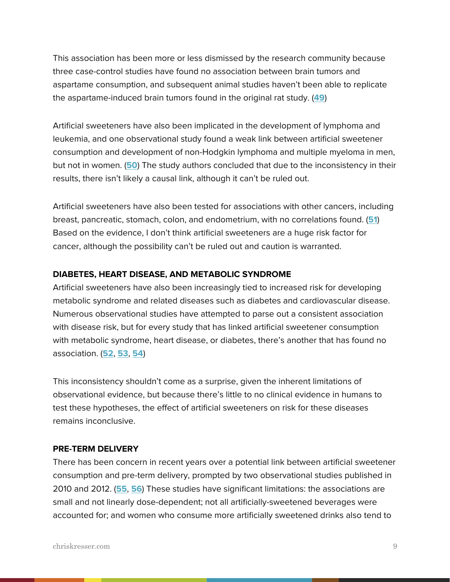This association has been more or less dismissed by the research community because three case-control studies have found no association between brain tumors and aspartame consumption, and subsequent animal studies haven't been able to replicate the aspartame-induced brain tumors found in the original rat study. (**[49](http://www.ncbi.nlm.nih.gov/pubmed/23891579)**)

Artificial sweeteners have also been implicated in the development of lymphoma and leukemia, and one observational study found a weak link between artificial sweetener consumption and development of non-Hodgkin lymphoma and multiple myeloma in men, but not in women. (**[50](http://www.ncbi.nlm.nih.gov/pubmed/23097267)**) The study authors concluded that due to the inconsistency in their results, there isn't likely a causal link, although it can't be ruled out.

Artificial sweeteners have also been tested for associations with other cancers, including breast, pancreatic, stomach, colon, and endometrium, with no correlations found. (**[51](http://www.ncbi.nlm.nih.gov/pubmed/23891579)**) Based on the evidence, I don't think artificial sweeteners are a huge risk factor for cancer, although the possibility can't be ruled out and caution is warranted.

#### **DIABETES, HEART DISEASE, AND METABOLIC SYNDROME**

Artificial sweeteners have also been increasingly tied to increased risk for developing metabolic syndrome and related diseases such as diabetes and cardiovascular disease. Numerous observational studies have attempted to parse out a consistent association with disease risk, but for every study that has linked artificial sweetener consumption with metabolic syndrome, heart disease, or diabetes, there's another that has found no association. (**[52](http://www.ncbi.nlm.nih.gov/pubmed/23850261)**, **[53](http://www.ncbi.nlm.nih.gov/pubmed/24190652)**, **[54](http://www.ncbi.nlm.nih.gov/pubmed/23891579)**)

This inconsistency shouldn't come as a surprise, given the inherent limitations of observational evidence, but because there's little to no clinical evidence in humans to test these hypotheses, the effect of artificial sweeteners on risk for these diseases remains inconclusive.

#### **PRE-TERM DELIVERY**

There has been concern in recent years over a potential link between artificial sweetener consumption and pre-term delivery, prompted by two observational studies published in 2010 and 2012. (**[55](http://www.ncbi.nlm.nih.gov/pubmed/20592133)**, **[56](http://www.ncbi.nlm.nih.gov/pubmed/22854404)**) These studies have significant limitations: the associations are small and not linearly dose-dependent; not all artificially-sweetened beverages were accounted for; and women who consume more artificially sweetened drinks also tend to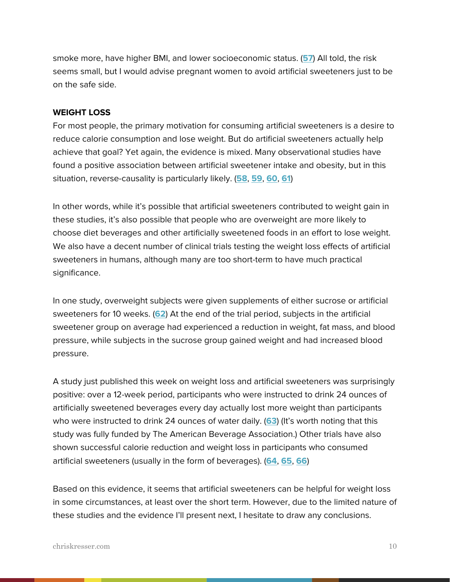smoke more, have higher BMI, and lower socioeconomic status. (**[57](http://www.ncbi.nlm.nih.gov/pubmed/23891579)**) All told, the risk seems small, but I would advise pregnant women to avoid artificial sweeteners just to be on the safe side.

#### **WEIGHT LOSS**

For most people, the primary motivation for consuming artificial sweeteners is a desire to reduce calorie consumption and lose weight. But do artificial sweeteners actually help achieve that goal? Yet again, the evidence is mixed. Many observational studies have found a positive association between artificial sweetener intake and obesity, but in this situation, reverse-causality is particularly likely. (**[58](http://www.ncbi.nlm.nih.gov/pubmed/24345988)**, **[59](http://www.ncbi.nlm.nih.gov/pubmed/24190652)**, **[60](http://www.ncbi.nlm.nih.gov/pubmed/23845273)**, **[61](http://www.ncbi.nlm.nih.gov/pubmed/23850261)**)

In other words, while it's possible that artificial sweeteners contributed to weight gain in these studies, it's also possible that people who are overweight are more likely to choose diet beverages and other artificially sweetened foods in an effort to lose weight. We also have a decent number of clinical trials testing the weight loss effects of artificial sweeteners in humans, although many are too short-term to have much practical significance.

In one study, overweight subjects were given supplements of either sucrose or artificial sweeteners for 10 weeks. (**[62](http://www.ncbi.nlm.nih.gov/pubmed/12324283)**) At the end of the trial period, subjects in the artificial sweetener group on average had experienced a reduction in weight, fat mass, and blood pressure, while subjects in the sucrose group gained weight and had increased blood pressure.

A study just published this week on weight loss and artificial sweeteners was surprisingly positive: over a 12-week period, participants who were instructed to drink 24 ounces of artificially sweetened beverages every day actually lost more weight than participants who were instructed to drink 24 ounces of water daily. (**[63](http://onlinelibrary.wiley.com/doi/10.1002/oby.20737/full)**) (It's worth noting that this study was fully funded by The American Beverage Association.) Other trials have also shown successful calorie reduction and weight loss in participants who consumed artificial sweeteners (usually in the form of beverages). (**[64](http://onlinelibrary.wiley.com/doi/10.1111/j.1467-3010.2006.00564.x/abstract)**, **[65](http://www.ncbi.nlm.nih.gov/pubmed/22301929)**, **[66](http://www.ncbi.nlm.nih.gov/pubmed/22573785)**)

Based on this evidence, it seems that artificial sweeteners can be helpful for weight loss in some circumstances, at least over the short term. However, due to the limited nature of these studies and the evidence I'll present next, I hesitate to draw any conclusions.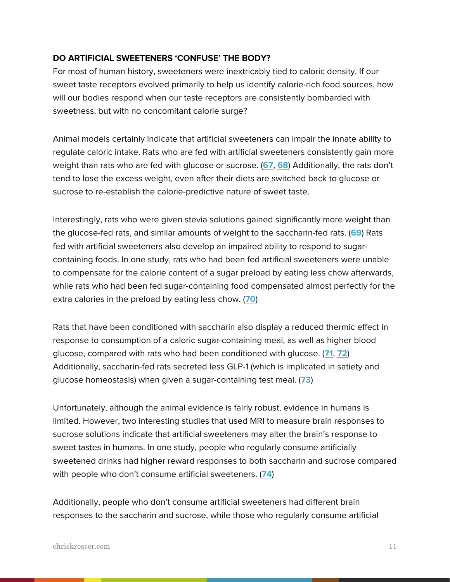#### **DO ARTIFICIAL SWEETENERS 'CONFUSE' THE BODY?**

For most of human history, sweeteners were inextricably tied to caloric density. If our sweet taste receptors evolved primarily to help us identify calorie-rich food sources, how will our bodies respond when our taste receptors are consistently bombarded with sweetness, but with no concomitant calorie surge?

Animal models certainly indicate that artificial sweeteners can impair the innate ability to regulate caloric intake. Rats who are fed with artificial sweeteners consistently gain more weight than rats who are fed with glucose or sucrose. (**[67](http://www.ncbi.nlm.nih.gov/pubmed/20060008)**, **[68](http://www.ncbi.nlm.nih.gov/pubmed/15111986/)**) Additionally, the rats don't tend to lose the excess weight, even after their diets are switched back to glucose or sucrose to re-establish the calorie-predictive nature of sweet taste.

Interestingly, rats who were given stevia solutions gained significantly more weight than the glucose-fed rats, and similar amounts of weight to the saccharin-fed rats. (**[69](http://www.ncbi.nlm.nih.gov/pubmed/20060008)**) Rats fed with artificial sweeteners also develop an impaired ability to respond to sugarcontaining foods. In one study, rats who had been fed artificial sweeteners were unable to compensate for the calorie content of a sugar preload by eating less chow afterwards, while rats who had been fed sugar-containing food compensated almost perfectly for the extra calories in the preload by eating less chow. (**[70](http://www.ncbi.nlm.nih.gov/pubmed/15111986/)**)

Rats that have been conditioned with saccharin also display a reduced thermic effect in response to consumption of a caloric sugar-containing meal, as well as higher blood glucose, compared with rats who had been conditioned with glucose. (**[71](http://www.ncbi.nlm.nih.gov/pubmed/20060008)**, **[72](http://www.ncbi.nlm.nih.gov/pubmed/22561130)**) Additionally, saccharin-fed rats secreted less GLP-1 (which is implicated in satiety and glucose homeostasis) when given a sugar-containing test meal. (**[73](http://www.ncbi.nlm.nih.gov/pubmed/22561130)**)

Unfortunately, although the animal evidence is fairly robust, evidence in humans is limited. However, two interesting studies that used MRI to measure brain responses to sucrose solutions indicate that artificial sweeteners may alter the brain's response to sweet tastes in humans. In one study, people who regularly consume artificially sweetened drinks had higher reward responses to both saccharin and sucrose compared with people who don't consume artificial sweeteners. (**[74](http://www.ncbi.nlm.nih.gov/pubmed/22583859)**)

Additionally, people who don't consume artificial sweeteners had different brain responses to the saccharin and sucrose, while those who regularly consume artificial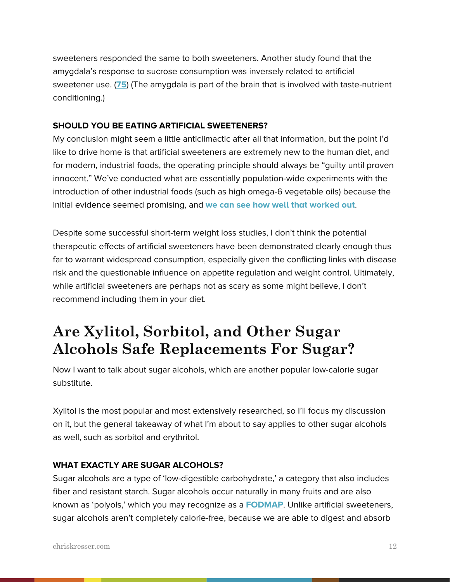sweeteners responded the same to both sweeteners. Another study found that the amygdala's response to sucrose consumption was inversely related to artificial sweetener use. (**[75](http://www.ncbi.nlm.nih.gov/pubmed/22178008)**) (The amygdala is part of the brain that is involved with taste-nutrient conditioning.)

#### **SHOULD YOU BE EATING ARTIFICIAL SWEETENERS?**

My conclusion might seem a little anticlimactic after all that information, but the point I'd like to drive home is that artificial sweeteners are extremely new to the human diet, and for modern, industrial foods, the operating principle should always be "guilty until proven innocent." We've conducted what are essentially population-wide experiments with the introduction of other industrial foods (such as high omega-6 vegetable oils) because the initial evidence seemed promising, and **[we can see how well that worked out](http://chriskresser.com/how-too-much-omega-6-and-not-enough-omega-3-is-making-us-sick)**.

Despite some successful short-term weight loss studies, I don't think the potential therapeutic effects of artificial sweeteners have been demonstrated clearly enough thus far to warrant widespread consumption, especially given the conflicting links with disease risk and the questionable influence on appetite regulation and weight control. Ultimately, while artificial sweeteners are perhaps not as scary as some might believe, I don't recommend including them in your diet.

## **Are Xylitol, Sorbitol, and Other Sugar Alcohols Safe Replacements For Sugar?**

Now I want to talk about sugar alcohols, which are another popular low-calorie sugar substitute.

Xylitol is the most popular and most extensively researched, so I'll focus my discussion on it, but the general takeaway of what I'm about to say applies to other sugar alcohols as well, such as sorbitol and erythritol.

#### **WHAT EXACTLY ARE SUGAR ALCOHOLS?**

Sugar alcohols are a type of 'low-digestible carbohydrate,' a category that also includes fiber and resistant starch. Sugar alcohols occur naturally in many fruits and are also known as 'polyols,' which you may recognize as a **[FODMAP](http://chriskresser.com/fodmaps-could-common-foods-be-harming-your-digestive-health)**. Unlike artificial sweeteners, sugar alcohols aren't completely calorie-free, because we are able to digest and absorb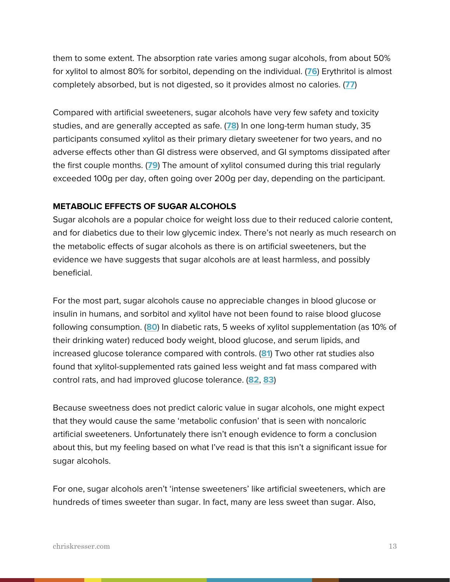them to some extent. The absorption rate varies among sugar alcohols, from about 50% for xylitol to almost 80% for sorbitol, depending on the individual. (**[76](http://archive.diabetes.ca/files/SugarAlcohols--Wolever--CJDDecember2002.pdf)**) Erythritol is almost completely absorbed, but is not digested, so it provides almost no calories. (**[77](http://onlinelibrary.wiley.com/doi/10.1111/j.1541-4337.2006.tb00081.x/abstract)**)

Compared with artificial sweeteners, sugar alcohols have very few safety and toxicity studies, and are generally accepted as safe. (**[78](http://www.sciencedirect.com/science/article/pii/0308814685901177)**) In one long-term human study, 35 participants consumed xylitol as their primary dietary sweetener for two years, and no adverse effects other than GI distress were observed, and GI symptoms dissipated after the first couple months. (**[79](http://www.ncbi.nlm.nih.gov/pubmed/1070906)**) The amount of xylitol consumed during this trial regularly exceeded 100g per day, often going over 200g per day, depending on the participant.

#### **METABOLIC EFFECTS OF SUGAR ALCOHOLS**

Sugar alcohols are a popular choice for weight loss due to their reduced calorie content, and for diabetics due to their low glycemic index. There's not nearly as much research on the metabolic effects of sugar alcohols as there is on artificial sweeteners, but the evidence we have suggests that sugar alcohols are at least harmless, and possibly beneficial.

For the most part, sugar alcohols cause no appreciable changes in blood glucose or insulin in humans, and sorbitol and xylitol have not been found to raise blood glucose following consumption. (**[80](http://archive.diabetes.ca/files/SugarAlcohols--Wolever--CJDDecember2002.pdf)**) In diabetic rats, 5 weeks of xylitol supplementation (as 10% of their drinking water) reduced body weight, blood glucose, and serum lipids, and increased glucose tolerance compared with controls. (**[81](http://www.ncbi.nlm.nih.gov/pubmed/22832597)**) Two other rat studies also found that xylitol-supplemented rats gained less weight and fat mass compared with control rats, and had improved glucose tolerance. (**[82](http://www.ncbi.nlm.nih.gov/pubmed/21765599)**, **[83](http://www.ncbi.nlm.nih.gov/pubmed/21434778)**)

Because sweetness does not predict caloric value in sugar alcohols, one might expect that they would cause the same 'metabolic confusion' that is seen with noncaloric artificial sweeteners. Unfortunately there isn't enough evidence to form a conclusion about this, but my feeling based on what I've read is that this isn't a significant issue for sugar alcohols.

For one, sugar alcohols aren't 'intense sweeteners' like artificial sweeteners, which are hundreds of times sweeter than sugar. In fact, many are less sweet than sugar. Also,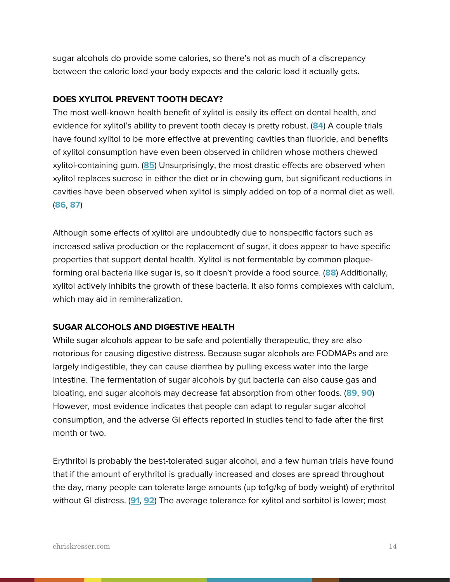sugar alcohols do provide some calories, so there's not as much of a discrepancy between the caloric load your body expects and the caloric load it actually gets.

#### **DOES XYLITOL PREVENT TOOTH DECAY?**

The most well-known health benefit of xylitol is easily its effect on dental health, and evidence for xylitol's ability to prevent tooth decay is pretty robust. (**[84](http://www.ncbi.nlm.nih.gov/pubmed/21576989)**) A couple trials have found xylitol to be more effective at preventing cavities than fluoride, and benefits of xylitol consumption have even been observed in children whose mothers chewed xylitol-containing gum. (**[85](http://www.ncbi.nlm.nih.gov/pubmed/21576989)**) Unsurprisingly, the most drastic effects are observed when xylitol replaces sucrose in either the diet or in chewing gum, but significant reductions in cavities have been observed when xylitol is simply added on top of a normal diet as well. (**[86](http://www.ncbi.nlm.nih.gov/pubmed/3422062)**, **[87](http://www.ncbi.nlm.nih.gov/pubmed/3166474)**)

Although some effects of xylitol are undoubtedly due to nonspecific factors such as increased saliva production or the replacement of sugar, it does appear to have specific properties that support dental health. Xylitol is not fermentable by common plaqueforming oral bacteria like sugar is, so it doesn't provide a food source. (**[88](http://www.ncbi.nlm.nih.gov/pubmed/21576989)**) Additionally, xylitol actively inhibits the growth of these bacteria. It also forms complexes with calcium, which may aid in remineralization.

#### **SUGAR ALCOHOLS AND DIGESTIVE HEALTH**

While sugar alcohols appear to be safe and potentially therapeutic, they are also notorious for causing digestive distress. Because sugar alcohols are FODMAPs and are largely indigestible, they can cause diarrhea by pulling excess water into the large intestine. The fermentation of sugar alcohols by gut bacteria can also cause gas and bloating, and sugar alcohols may decrease fat absorption from other foods. (**[89](http://www.ncbi.nlm.nih.gov/pubmed/24336061)**, **[90](http://archive.diabetes.ca/files/SugarAlcohols--Wolever--CJDDecember2002.pdf)**) However, most evidence indicates that people can adapt to regular sugar alcohol consumption, and the adverse GI effects reported in studies tend to fade after the first month or two.

Erythritol is probably the best-tolerated sugar alcohol, and a few human trials have found that if the amount of erythritol is gradually increased and doses are spread throughout the day, many people can tolerate large amounts (up to1g/kg of body weight) of erythritol without GI distress. (**[91](http://www.ncbi.nlm.nih.gov/pubmed/19234944)**, **[92](http://onlinelibrary.wiley.com/doi/10.1111/j.1541-4337.2006.tb00081.x/abstract)**) The average tolerance for xylitol and sorbitol is lower; most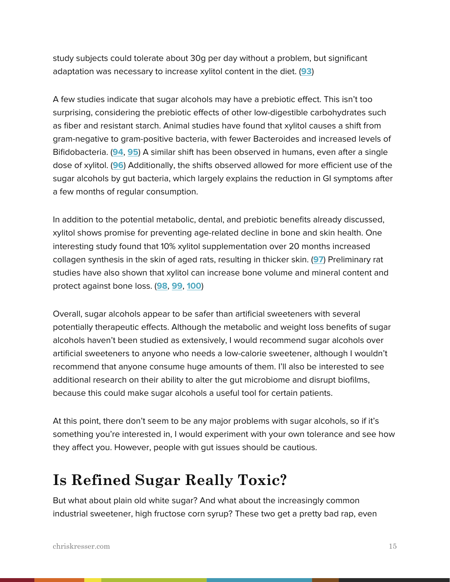study subjects could tolerate about 30g per day without a problem, but significant adaptation was necessary to increase xylitol content in the diet. (**[93](http://www.ncbi.nlm.nih.gov/pubmed/19234944)**)

A few studies indicate that sugar alcohols may have a prebiotic effect. This isn't too surprising, considering the prebiotic effects of other low-digestible carbohydrates such as fiber and resistant starch. Animal studies have found that xylitol causes a shift from gram-negative to gram-positive bacteria, with fewer Bacteroides and increased levels of Bifidobacteria. (**[94](http://www.ncbi.nlm.nih.gov/pubmed/24336061)**, **[95](http://www.ncbi.nlm.nih.gov/pubmed/4076932)**) A similar shift has been observed in humans, even after a single dose of xylitol. (**[96](http://www.ncbi.nlm.nih.gov/pubmed/4076932)**) Additionally, the shifts observed allowed for more efficient use of the sugar alcohols by gut bacteria, which largely explains the reduction in GI symptoms after a few months of regular consumption.

In addition to the potential metabolic, dental, and prebiotic benefits already discussed, xylitol shows promise for preventing age-related decline in bone and skin health. One interesting study found that 10% xylitol supplementation over 20 months increased collagen synthesis in the skin of aged rats, resulting in thicker skin. (**[97](http://www.ncbi.nlm.nih.gov/pubmed/15832042)**) Preliminary rat studies have also shown that xylitol can increase bone volume and mineral content and protect against bone loss. (**[98](http://www.ncbi.nlm.nih.gov/pubmed/9591750)**, **[99](http://www.ncbi.nlm.nih.gov/pubmed/11721142)**, **[100](http://www.ncbi.nlm.nih.gov/pubmed/11782878)**)

Overall, sugar alcohols appear to be safer than artificial sweeteners with several potentially therapeutic effects. Although the metabolic and weight loss benefits of sugar alcohols haven't been studied as extensively, I would recommend sugar alcohols over artificial sweeteners to anyone who needs a low-calorie sweetener, although I wouldn't recommend that anyone consume huge amounts of them. I'll also be interested to see additional research on their ability to alter the gut microbiome and disrupt biofilms, because this could make sugar alcohols a useful tool for certain patients.

At this point, there don't seem to be any major problems with sugar alcohols, so if it's something you're interested in, I would experiment with your own tolerance and see how they affect you. However, people with gut issues should be cautious.

## **Is Refined Sugar Really Toxic?**

But what about plain old white sugar? And what about the increasingly common industrial sweetener, high fructose corn syrup? These two get a pretty bad rap, even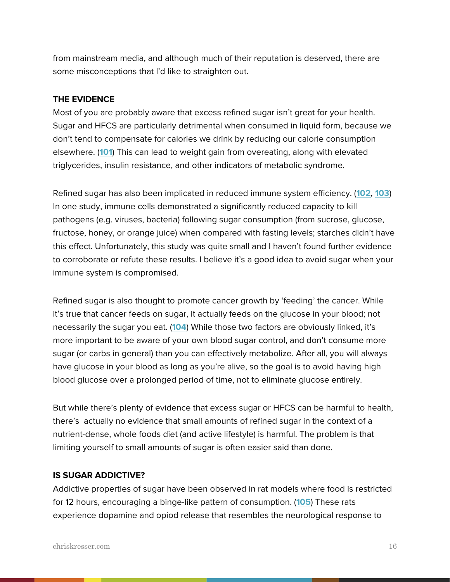from mainstream media, and although much of their reputation is deserved, there are some misconceptions that I'd like to straighten out.

#### **THE EVIDENCE**

Most of you are probably aware that excess refined sugar isn't great for your health. Sugar and HFCS are particularly detrimental when consumed in liquid form, because we don't tend to compensate for calories we drink by reducing our calorie consumption elsewhere. (**[101](http://www.ncbi.nlm.nih.gov/pubmed/24652725)**) This can lead to weight gain from overeating, along with elevated triglycerides, insulin resistance, and other indicators of metabolic syndrome.

Refined sugar has also been implicated in reduced immune system efficiency. (**[102](http://www.ncbi.nlm.nih.gov/pubmed/4748178)**, **[103](http://www.sciencedirect.com/science/article/pii/S0271531784800573)**) In one study, immune cells demonstrated a significantly reduced capacity to kill pathogens (e.g. viruses, bacteria) following sugar consumption (from sucrose, glucose, fructose, honey, or orange juice) when compared with fasting levels; starches didn't have this effect. Unfortunately, this study was quite small and I haven't found further evidence to corroborate or refute these results. I believe it's a good idea to avoid sugar when your immune system is compromised.

Refined sugar is also thought to promote cancer growth by 'feeding' the cancer. While it's true that cancer feeds on sugar, it actually feeds on the glucose in your blood; not necessarily the sugar you eat. (**10[4](http://www.sciencedirect.com/science/article/pii/0006291X85919308)**) While those two factors are obviously linked, it's more important to be aware of your own blood sugar control, and don't consume more sugar (or carbs in general) than you can effectively metabolize. After all, you will always have glucose in your blood as long as you're alive, so the goal is to avoid having high blood glucose over a prolonged period of time, not to eliminate glucose entirely.

But while there's plenty of evidence that excess sugar or HFCS can be harmful to health, there's actually no evidence that small amounts of refined sugar in the context of a nutrient-dense, whole foods diet (and active lifestyle) is harmful. The problem is that limiting yourself to small amounts of sugar is often easier said than done.

#### **IS SUGAR ADDICTIVE?**

Addictive properties of sugar have been observed in rat models where food is restricted for 12 hours, encouraging a binge-like pattern of consumption. (**[105](http://www.ncbi.nlm.nih.gov/pubmed/17617461)**) These rats experience dopamine and opiod release that resembles the neurological response to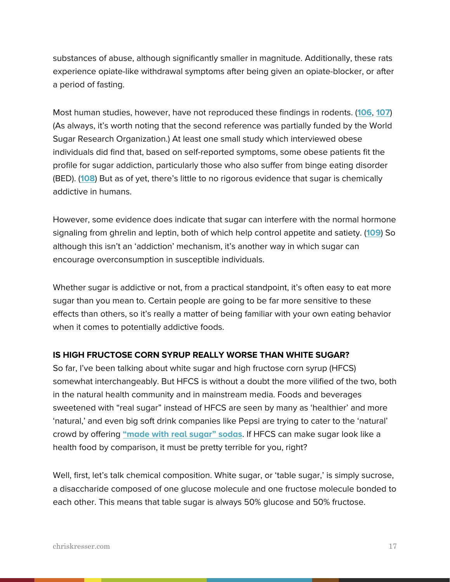substances of abuse, although significantly smaller in magnitude. Additionally, these rats experience opiate-like withdrawal symptoms after being given an opiate-blocker, or after a period of fasting.

Most human studies, however, have not reproduced these findings in rodents. (**[106](http://www.ncbi.nlm.nih.gov/pmc/articles/PMC3257837/)**, **[107](http://www.ncbi.nlm.nih.gov/pubmed/20056521)**) (As always, it's worth noting that the second reference was partially funded by the World Sugar Research Organization.) At least one small study which interviewed obese individuals did find that, based on self-reported symptoms, some obese patients fit the profile for sugar addiction, particularly those who also suffer from binge eating disorder (BED). (**[108](http://www.ncbi.nlm.nih.gov/pubmed/24778622)**) But as of yet, there's little to no rigorous evidence that sugar is chemically addictive in humans.

However, some evidence does indicate that sugar can interfere with the normal hormone signaling from ghrelin and leptin, both of which help control appetite and satiety. (**[109](http://www.ncbi.nlm.nih.gov/pubmed/22297952)**) So although this isn't an 'addiction' mechanism, it's another way in which sugar can encourage overconsumption in susceptible individuals.

Whether sugar is addictive or not, from a practical standpoint, it's often easy to eat more sugar than you mean to. Certain people are going to be far more sensitive to these effects than others, so it's really a matter of being familiar with your own eating behavior when it comes to potentially addictive foods.

#### **IS HIGH FRUCTOSE CORN SYRUP REALLY WORSE THAN WHITE SUGAR?**

So far, I've been talking about white sugar and high fructose corn syrup (HFCS) somewhat interchangeably. But HFCS is without a doubt the more vilified of the two, both in the natural health community and in mainstream media. Foods and beverages sweetened with "real sugar" instead of HFCS are seen by many as 'healthier' and more 'natural,' and even big soft drink companies like Pepsi are trying to cater to the 'natural' crowd by offering **["made with real sugar" sodas](http://www.usatoday.com/story/money/business/2014/04/08/pepsi-cola-pepsico-sugar/7460189/)**. If HFCS can make sugar look like a health food by comparison, it must be pretty terrible for you, right?

Well, first, let's talk chemical composition. White sugar, or 'table sugar,' is simply sucrose, a disaccharide composed of one glucose molecule and one fructose molecule bonded to each other. This means that table sugar is always 50% glucose and 50% fructose.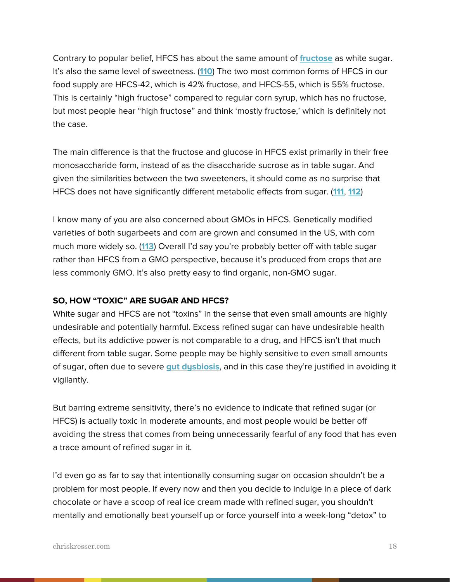Contrary to popular belief, HFCS has about the same amount of **[fructose](http://chriskresser.com/ask-chris-is-fructose-really-that-bad)** as white sugar. It's also the same level of sweetness. (**[110](http://www.ncbi.nlm.nih.gov/pubmed/19064536)**) The two most common forms of HFCS in our food supply are HFCS-42, which is 42% fructose, and HFCS-55, which is 55% fructose. This is certainly "high fructose" compared to regular corn syrup, which has no fructose, but most people hear "high fructose" and think 'mostly fructose,' which is definitely not the case.

The main difference is that the fructose and glucose in HFCS exist primarily in their free monosaccharide form, instead of as the disaccharide sucrose as in table sugar. And given the similarities between the two sweeteners, it should come as no surprise that HFCS does not have significantly different metabolic effects from sugar. (**[111](http://www.ncbi.nlm.nih.gov/pubmed/24612636)**, **[112](http://www.ncbi.nlm.nih.gov/pubmed/23493541)**)

I know many of you are also concerned about GMOs in HFCS. Genetically modified varieties of both sugarbeets and corn are grown and consumed in the US, with corn much more widely so. (**[113](http://www.ers.usda.gov/publications/err-economic-research-report/err162.aspx#.U7SfU15ptG5)**) Overall I'd say you're probably better off with table sugar rather than HFCS from a GMO perspective, because it's produced from crops that are less commonly GMO. It's also pretty easy to find organic, non-GMO sugar.

#### **SO, HOW "TOXIC" ARE SUGAR AND HFCS?**

White sugar and HFCS are not "toxins" in the sense that even small amounts are highly undesirable and potentially harmful. Excess refined sugar can have undesirable health effects, but its addictive power is not comparable to a drug, and HFCS isn't that much different from table sugar. Some people may be highly sensitive to even small amounts of sugar, often due to severe **[gut dysbiosis](http://chriskresser.com/gut-health)**, and in this case they're justified in avoiding it vigilantly.

But barring extreme sensitivity, there's no evidence to indicate that refined sugar (or HFCS) is actually toxic in moderate amounts, and most people would be better off avoiding the stress that comes from being unnecessarily fearful of any food that has even a trace amount of refined sugar in it.

I'd even go as far to say that intentionally consuming sugar on occasion shouldn't be a problem for most people. If every now and then you decide to indulge in a piece of dark chocolate or have a scoop of real ice cream made with refined sugar, you shouldn't mentally and emotionally beat yourself up or force yourself into a week-long "detox" to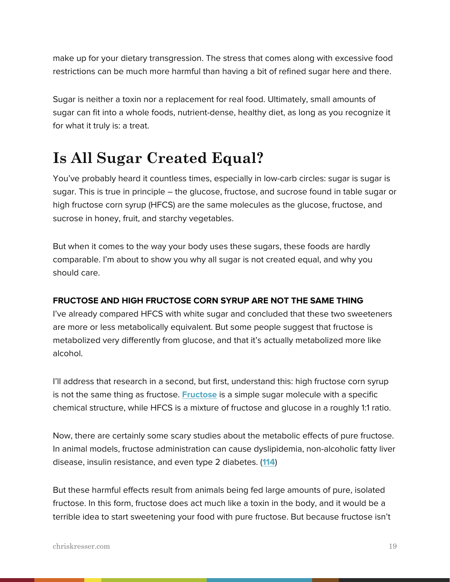make up for your dietary transgression. The stress that comes along with excessive food restrictions can be much more harmful than having a bit of refined sugar here and there.

Sugar is neither a toxin nor a replacement for real food. Ultimately, small amounts of sugar can fit into a whole foods, nutrient-dense, healthy diet, as long as you recognize it for what it truly is: a treat.

## **Is All Sugar Created Equal?**

You've probably heard it countless times, especially in low-carb circles: sugar is sugar is sugar. This is true in principle – the glucose, fructose, and sucrose found in table sugar or high fructose corn syrup (HFCS) are the same molecules as the glucose, fructose, and sucrose in honey, fruit, and starchy vegetables.

But when it comes to the way your body uses these sugars, these foods are hardly comparable. I'm about to show you why all sugar is not created equal, and why you should care.

#### **FRUCTOSE AND HIGH FRUCTOSE CORN SYRUP ARE NOT THE SAME THING**

I've already compared HFCS with white sugar and concluded that these two sweeteners are more or less metabolically equivalent. But some people suggest that fructose is metabolized very differently from glucose, and that it's actually metabolized more like alcohol.

I'll address that research in a second, but first, understand this: high fructose corn syrup is not the same thing as fructose. **[Fructose](http://chriskresser.com/ask-chris-is-fructose-really-that-bad)** is a simple sugar molecule with a specific chemical structure, while HFCS is a mixture of fructose and glucose in a roughly 1:1 ratio.

Now, there are certainly some scary studies about the metabolic effects of pure fructose. In animal models, fructose administration can cause dyslipidemia, non-alcoholic fatty liver disease, insulin resistance, and even type 2 diabetes. (**[114](http://www.ncbi.nlm.nih.gov/pubmed/22297952)**)

But these harmful effects result from animals being fed large amounts of pure, isolated fructose. In this form, fructose does act much like a toxin in the body, and it would be a terrible idea to start sweetening your food with pure fructose. But because fructose isn't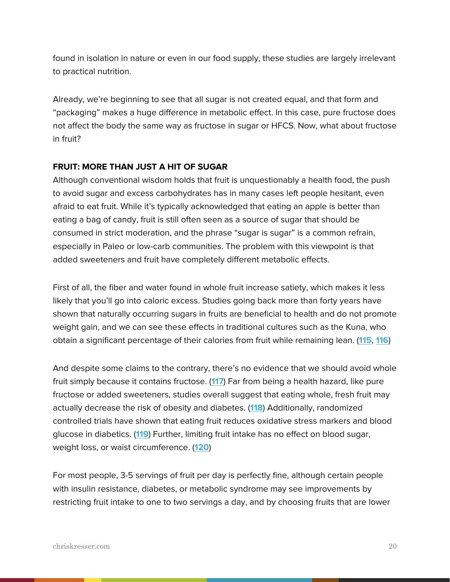found in isolation in nature or even in our food supply, these studies are largely irrelevant to practical nutrition.

Already, we're beginning to see that all sugar is not created equal, and that form and "packaging" makes a huge difference in metabolic effect. In this case, pure fructose does not affect the body the same way as fructose in sugar or HFCS. Now, what about fructose in fruit?

#### **FRUIT: MORE THAN JUST A HIT OF SUGAR**

Although conventional wisdom holds that fruit is unquestionably a health food, the push to avoid sugar and excess carbohydrates has in many cases left people hesitant, even afraid to eat fruit. While it's typically acknowledged that eating an apple is better than eating a bag of candy, fruit is still often seen as a source of sugar that should be consumed in strict moderation, and the phrase "sugar is sugar" is a common refrain, especially in Paleo or low-carb communities. The problem with this viewpoint is that added sweeteners and fruit have completely different metabolic effects.

First of all, the fiber and water found in whole fruit increase satiety, which makes it less likely that you'll go into caloric excess. Studies going back more than forty years have shown that naturally occurring sugars in fruits are beneficial to health and do not promote weight gain, and we can see these effects in traditional cultures such as the Kuna, who obtain a significant percentage of their calories from fruit while remaining lean. (**[115](http://pmid.us/4928686)**, **[116](http://pmid.us/16794446)**)

And despite some claims to the contrary, there's no evidence that we should avoid whole fruit simply because it contains fructose. (**[117](http://pmid.us/22358823)**) Far from being a health hazard, like pure fructose or added sweeteners, studies overall suggest that eating whole, fresh fruit may actually decrease the risk of obesity and diabetes. (**[118](http://pmid.us/22474042)**) Additionally, randomized controlled trials have shown that eating fruit reduces oxidative stress markers and blood glucose in diabetics. (**[119](http://www.ncbi.nlm.nih.gov/pubmed/23561067)**) Further, limiting fruit intake has no effect on blood sugar, weight loss, or waist circumference. (**[120](http://www.ncbi.nlm.nih.gov/pubmed/23497350)**)

For most people, 3-5 servings of fruit per day is perfectly fine, although certain people with insulin resistance, diabetes, or metabolic syndrome may see improvements by restricting fruit intake to one to two servings a day, and by choosing fruits that are lower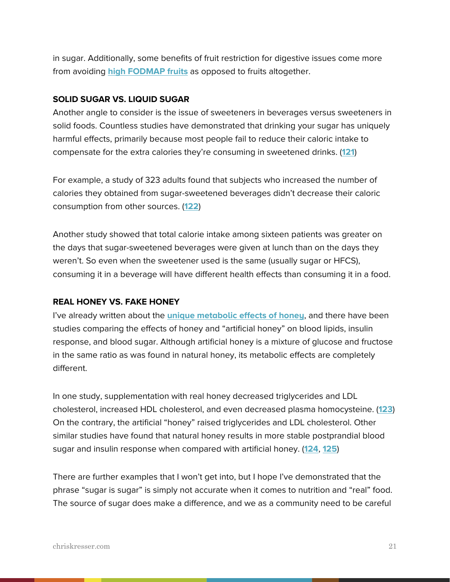in sugar. Additionally, some benefits of fruit restriction for digestive issues come more from avoiding **[high FODMAP fruits](http://chriskresser.com/fodmaps-could-common-foods-be-harming-your-digestive-health)** as opposed to fruits altogether.

#### **SOLID SUGAR VS. LIQUID SUGAR**

Another angle to consider is the issue of sweeteners in beverages versus sweeteners in solid foods. Countless studies have demonstrated that drinking your sugar has uniquely harmful effects, primarily because most people fail to reduce their caloric intake to compensate for the extra calories they're consuming in sweetened drinks. (**[121](http://pmid.us/8848479)**)

For example, a study of 323 adults found that subjects who increased the number of calories they obtained from sugar-sweetened beverages didn't decrease their caloric consumption from other sources. (**[122](http://pmid.us/8346296)**)

Another study showed that total calorie intake among sixteen patients was greater on the days that sugar-sweetened beverages were given at lunch than on the days they weren't. So even when the sweetener used is the same (usually sugar or HFCS), consuming it in a beverage will have different health effects than consuming it in a food.

#### **REAL HONEY VS. FAKE HONEY**

I've already written about the **[unique metabolic effects of honey](http://chriskresser.com/does-it-matter-if-a-sweetener-is-natural)**, and there have been studies comparing the effects of honey and "artificial honey" on blood lipids, insulin response, and blood sugar. Although artificial honey is a mixture of glucose and fructose in the same ratio as was found in natural honey, its metabolic effects are completely different.

In one study, supplementation with real honey decreased triglycerides and LDL cholesterol, increased HDL cholesterol, and even decreased plasma homocysteine. (**[123](http://www.ncbi.nlm.nih.gov/pubmed/15117561)**) On the contrary, the artificial "honey" raised triglycerides and LDL cholesterol. Other similar studies have found that natural honey results in more stable postprandial blood sugar and insulin response when compared with artificial honey. (**[124](http://www.ncbi.nlm.nih.gov/pubmed/18803712)**, **[125](http://www.ncbi.nlm.nih.gov/pubmed/18800887)**)

There are further examples that I won't get into, but I hope I've demonstrated that the phrase "sugar is sugar" is simply not accurate when it comes to nutrition and "real" food. The source of sugar does make a difference, and we as a community need to be careful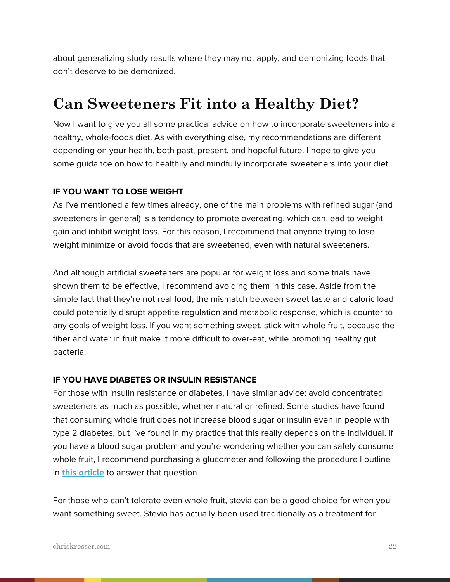about generalizing study results where they may not apply, and demonizing foods that don't deserve to be demonized.

## **Can Sweeteners Fit into a Healthy Diet?**

Now I want to give you all some practical advice on how to incorporate sweeteners into a healthy, whole-foods diet. As with everything else, my recommendations are different depending on your health, both past, present, and hopeful future. I hope to give you some guidance on how to healthily and mindfully incorporate sweeteners into your diet.

#### **IF YOU WANT TO LOSE WEIGHT**

As I've mentioned a few times already, one of the main problems with refined sugar (and sweeteners in general) is a tendency to promote overeating, which can lead to weight gain and inhibit weight loss. For this reason, I recommend that anyone trying to lose weight minimize or avoid foods that are sweetened, even with natural sweeteners.

And although artificial sweeteners are popular for weight loss and some trials have shown them to be effective, I recommend avoiding them in this case. Aside from the simple fact that they're not real food, the mismatch between sweet taste and caloric load could potentially disrupt appetite regulation and metabolic response, which is counter to any goals of weight loss. If you want something sweet, stick with whole fruit, because the fiber and water in fruit make it more difficult to over-eat, while promoting healthy gut bacteria.

#### **IF YOU HAVE DIABETES OR INSULIN RESISTANCE**

For those with insulin resistance or diabetes, I have similar advice: avoid concentrated sweeteners as much as possible, whether natural or refined. Some studies have found that consuming whole fruit does not increase blood sugar or insulin even in people with type 2 diabetes, but I've found in my practice that this really depends on the individual. If you have a blood sugar problem and you're wondering whether you can safely consume whole fruit, I recommend purchasing a glucometer and following the procedure I outline in **[this article](http://chriskresser.com/how-to-prevent-diabetes-and-heart-disease-for-16)** to answer that question.

For those who can't tolerate even whole fruit, stevia can be a good choice for when you want something sweet. Stevia has actually been used traditionally as a treatment for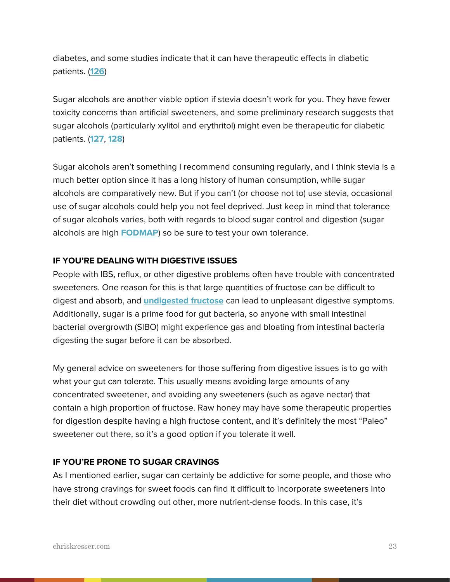diabetes, and some studies indicate that it can have therapeutic effects in diabetic patients. (**[126](http://www.ncbi.nlm.nih.gov/pubmed/23140911)**)

Sugar alcohols are another viable option if stevia doesn't work for you. They have fewer toxicity concerns than artificial sweeteners, and some preliminary research suggests that sugar alcohols (particularly xylitol and erythritol) might even be therapeutic for diabetic patients. (**[127](http://www.ncbi.nlm.nih.gov/pubmed/24366423)**, **[128](http://www.ncbi.nlm.nih.gov/pubmed/24962431)**)

Sugar alcohols aren't something I recommend consuming regularly, and I think stevia is a much better option since it has a long history of human consumption, while sugar alcohols are comparatively new. But if you can't (or choose not to) use stevia, occasional use of sugar alcohols could help you not feel deprived. Just keep in mind that tolerance of sugar alcohols varies, both with regards to blood sugar control and digestion (sugar alcohols are high **[FODMAP](http://chriskresser.com/fodmaps-could-common-foods-be-harming-your-digestive-health)**) so be sure to test your own tolerance.

#### **IF YOU'RE DEALING WITH DIGESTIVE ISSUES**

People with IBS, reflux, or other digestive problems often have trouble with concentrated sweeteners. One reason for this is that large quantities of fructose can be difficult to digest and absorb, and **[undigested fructose](http://chriskresser.com/fodmaps-could-common-foods-be-harming-your-digestive-health)** can lead to unpleasant digestive symptoms. Additionally, sugar is a prime food for gut bacteria, so anyone with small intestinal bacterial overgrowth (SIBO) might experience gas and bloating from intestinal bacteria digesting the sugar before it can be absorbed.

My general advice on sweeteners for those suffering from digestive issues is to go with what your gut can tolerate. This usually means avoiding large amounts of any concentrated sweetener, and avoiding any sweeteners (such as agave nectar) that contain a high proportion of fructose. Raw honey may have some therapeutic properties for digestion despite having a high fructose content, and it's definitely the most "Paleo" sweetener out there, so it's a good option if you tolerate it well.

#### **IF YOU'RE PRONE TO SUGAR CRAVINGS**

As I mentioned earlier, sugar can certainly be addictive for some people, and those who have strong cravings for sweet foods can find it difficult to incorporate sweeteners into their diet without crowding out other, more nutrient-dense foods. In this case, it's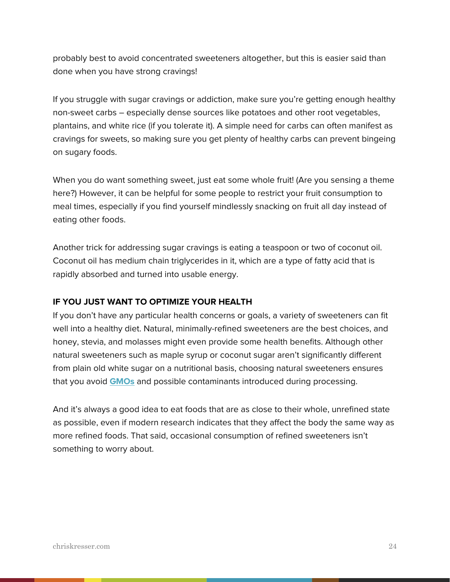probably best to avoid concentrated sweeteners altogether, but this is easier said than done when you have strong cravings!

If you struggle with sugar cravings or addiction, make sure you're getting enough healthy non-sweet carbs – especially dense sources like potatoes and other root vegetables, plantains, and white rice (if you tolerate it). A simple need for carbs can often manifest as cravings for sweets, so making sure you get plenty of healthy carbs can prevent bingeing on sugary foods.

When you do want something sweet, just eat some whole fruit! (Are you sensing a theme here?) However, it can be helpful for some people to restrict your fruit consumption to meal times, especially if you find yourself mindlessly snacking on fruit all day instead of eating other foods.

Another trick for addressing sugar cravings is eating a teaspoon or two of coconut oil. Coconut oil has medium chain triglycerides in it, which are a type of fatty acid that is rapidly absorbed and turned into usable energy.

#### **IF YOU JUST WANT TO OPTIMIZE YOUR HEALTH**

If you don't have any particular health concerns or goals, a variety of sweeteners can fit well into a healthy diet. Natural, minimally-refined sweeteners are the best choices, and honey, stevia, and molasses might even provide some health benefits. Although other natural sweeteners such as maple syrup or coconut sugar aren't significantly different from plain old white sugar on a nutritional basis, choosing natural sweeteners ensures that you avoid **[GMOs](http://chriskresser.com/are-gmos-safe)** and possible contaminants introduced during processing.

And it's always a good idea to eat foods that are as close to their whole, unrefined state as possible, even if modern research indicates that they affect the body the same way as more refined foods. That said, occasional consumption of refined sweeteners isn't something to worry about.